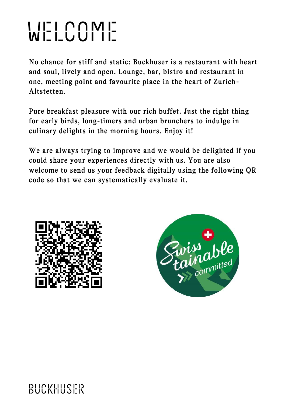# welcome

No chance for stiff and static: Buckhuser is a restaurant with heart and soul, lively and open. Lounge, bar, bistro and restaurant in one, meeting point and favourite place in the heart of Zurich - Altstetten.

Pure breakfast pleasure with our rich buffet. Just the right thing for early birds, long-timers and urban brunchers to indulge in culinary delights in the morning hours. Enjoy it!

We are always trying to improve and we would be delighted if you could share your experiences directly with us. You are also welcome to send us your feedback digitally using the following QR code so that we can systematically evaluate it.



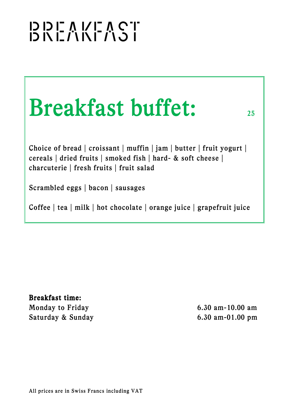## ו בו כו כו כו כו כו כו כו כו<br>דו ט ג'ז א ג'ז א בו או כו

| <b>Breakfast buffet:</b> |  |
|--------------------------|--|
|                          |  |

Choice of bread | croissant | muffin | jam | butter | fruit yogurt | cereals | dried fruits | smoked fish | hard- & soft cheese | charcuterie | fresh fruits | fruit salad

Scrambled eggs | bacon | sausages

Coffee | tea | milk | hot chocolate | orange juice | grapefruit juice

Breakfast time: Monday to Friday 6.30 am-10.00 am Saturday & Sunday 6.30 am-01.00 pm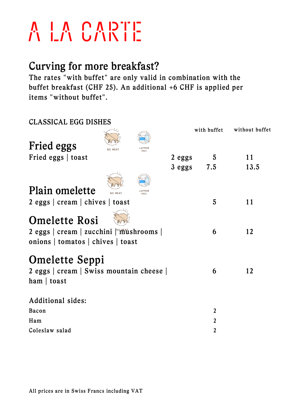### A LA CARTE

### Curving for more breakfast?

The rates "with buffet" are only valid in combination with the buffet breakfast (CHF 25). An additional +6 CHF is applied per items "without buffet".

| <b>CLASSICAL EGG DISHES</b>                                                                          |                    |              |                |
|------------------------------------------------------------------------------------------------------|--------------------|--------------|----------------|
| Fried eggs                                                                                           |                    | with buffet  | without buffet |
| Fried eggs   toast                                                                                   | $2 \text{ eggs}$ 5 |              | 11             |
|                                                                                                      | 3 eggs 7.5         |              | 13.5           |
| Plain omelette                                                                                       |                    |              |                |
| $2$ eggs $ $ cream $ $ chives $ $ toast                                                              |                    | 5            | 11             |
| <b>Omelette Rosi</b><br>2 eggs   cream   zucchini   mushrooms  <br>onions   tomatos   chives   toast |                    | 6            | 12             |
| <b>Omelette Seppi</b><br>2 eggs   cream   Swiss mountain cheese  <br>$ham$   toast                   |                    | 6            | 12             |
| Additional sides:                                                                                    |                    |              |                |
| Bacon                                                                                                |                    | $\mathbf{2}$ |                |
| Ham                                                                                                  |                    | 2            |                |
| Coleslaw salad                                                                                       |                    | $\mathbf{2}$ |                |
|                                                                                                      |                    |              |                |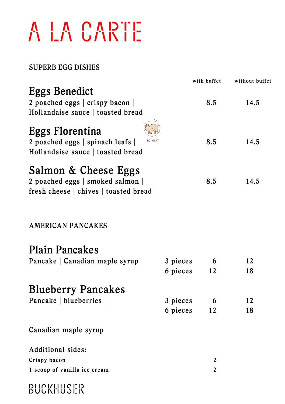## A LA CARTE

#### SUPERB EGG DISHES

BUCKHUSER

|                                                                                                            |          | with buffet    | without buffet |
|------------------------------------------------------------------------------------------------------------|----------|----------------|----------------|
| <b>Eggs Benedict</b>                                                                                       |          |                |                |
| 2 poached eggs   crispy bacon                                                                              |          | 8.5            | 14.5           |
| Hollandaise sauce   toasted bread                                                                          |          |                |                |
| <b>Eggs Florentina</b><br>NO MEAT<br>2 poached eggs   spinach leafs  <br>Hollandaise sauce   toasted bread |          | 8.5            | 14.5           |
| Salmon & Cheese Eggs<br>2 poached eggs   smoked salmon  <br>fresh cheese   chives   toasted bread          |          | 8.5            | 14.5           |
| AMERICAN PANCAKES                                                                                          |          |                |                |
| <b>Plain Pancakes</b>                                                                                      |          |                |                |
| Pancake   Canadian maple syrup                                                                             | 3 pieces | 6              | 12             |
|                                                                                                            | 6 pieces | 12             | 18             |
| <b>Blueberry Pancakes</b>                                                                                  |          |                |                |
| Pancake   blueberries                                                                                      | 3 pieces | 6              | 12             |
|                                                                                                            | 6 pieces | 12             | 18             |
| Canadian maple syrup                                                                                       |          |                |                |
| Additional sides:                                                                                          |          |                |                |
| Crispy bacon                                                                                               |          | 2              |                |
| 1 scoop of vanilla ice cream                                                                               |          | $\overline{2}$ |                |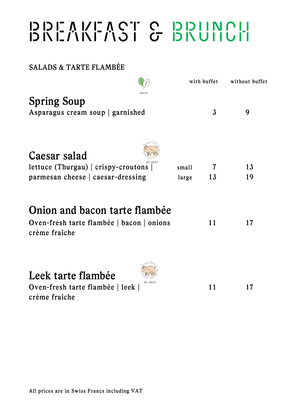## **BREAKFAST & BRUNCH**<br>החוסות של האוני האוני

SALADS & TARTE FLAMBÉE

|                                                                                                |              |                | with buffet | without buffet |
|------------------------------------------------------------------------------------------------|--------------|----------------|-------------|----------------|
| <b>Spring Soup</b><br>Asparagus cream soup   garnished                                         | <b>JEGAN</b> |                | 3           | 9              |
| Caesar salad<br>lettuce (Thurgau) $ $ crispy-croutons $ $<br>parmesan cheese   caesar-dressing |              | small<br>large | 7<br>13     | 13<br>19       |
| Onion and bacon tarte flambée                                                                  |              |                |             |                |

| Oven-fresh tarte flambée   bacon   onions |  |  |
|-------------------------------------------|--|--|
| crème fraîche                             |  |  |

 $\sim$ 

| WW<br>Leek tarte flambée                   |    |    |
|--------------------------------------------|----|----|
| NO MEAT<br>Oven-fresh tarte flambée   leek | 11 | 17 |
| crème fraîche                              |    |    |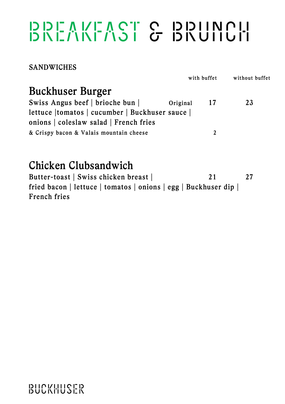### **BREAKFAST & BRUNCH**<br>BREAKFAST & BRUILUIT

**SANDWICHES** 

|                                                |          | with buffet    | without buffet |  |
|------------------------------------------------|----------|----------------|----------------|--|
| <b>Buckhuser Burger</b>                        |          |                |                |  |
| Swiss Angus beef   brioche bun                 | Original | -17            | 23             |  |
| lettuce   tomatos   cucumber   Buckhuser sauce |          |                |                |  |
| onions   coleslaw salad   French fries         |          |                |                |  |
| & Crispy bacon & Valais mountain cheese        |          | $\mathfrak{D}$ |                |  |
|                                                |          |                |                |  |

### Chicken Clubsandwich

Butter-toast | Swiss chicken breast | 21 27 fried bacon | lettuce | tomatos | onions | egg | Buckhuser dip | French fries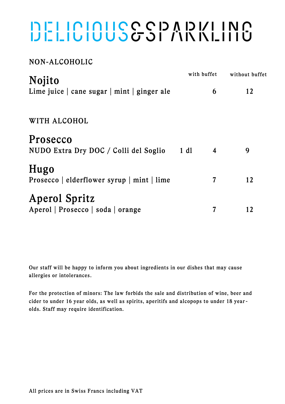## DELICIOUS&SI ANNLING

#### NON-ALCOHOLIC

| <b>Nojito</b>                                                 | with buffet |   | without buffet |  |
|---------------------------------------------------------------|-------------|---|----------------|--|
| Lime juice $\vert$ cane sugar $\vert$ mint $\vert$ ginger ale |             | 6 | 12             |  |
| WITH ALCOHOL                                                  |             |   |                |  |
| Prosecco<br>NUDO Extra Dry DOC / Colli del Soglio             | 1 d1        | 4 | 9              |  |
| Hugo<br>Prosecco   elderflower syrup   mint   lime            |             | 7 | 12             |  |
| <b>Aperol Spritz</b><br>Aperol   Prosecco   soda   orange     |             | 7 | 12             |  |

Our staff will be happy to inform you about ingredients in our dishes that may cause allergies or intolerances.

For the protection of minors: The law forbids the sale and distribution of wine, beer and cider to under 16 year olds, as well as spirits, aperitifs and alcopops to under 18 yearolds. Staff may require identification.